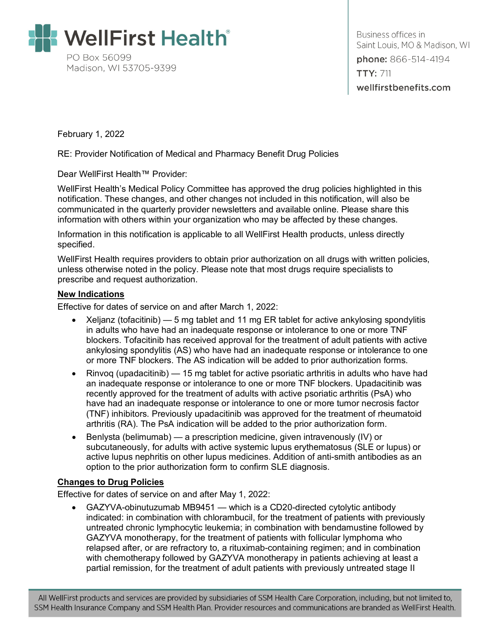

Business offices in Saint Louis, MO & Madison, WI phone: 866-514-4194 **TTY: 711** wellfirstbenefits.com

February 1, 2022

RE: Provider Notification of Medical and Pharmacy Benefit Drug Policies

Dear WellFirst Health™ Provider:

WellFirst Health's Medical Policy Committee has approved the drug policies highlighted in this notification. These changes, and other changes not included in this notification, will also be communicated in the quarterly provider newsletters and available online. Please share this information with others within your organization who may be affected by these changes.

Information in this notification is applicable to all WellFirst Health products, unless directly specified.

WellFirst Health requires providers to obtain prior authorization on all drugs with written policies, unless otherwise noted in the policy. Please note that most drugs require specialists to prescribe and request authorization.

#### **New Indications**

Effective for dates of service on and after March 1, 2022:

- Xeljanz (tofacitinib) 5 mg tablet and 11 mg ER tablet for active ankylosing spondylitis in adults who have had an inadequate response or intolerance to one or more TNF blockers. Tofacitinib has received approval for the treatment of adult patients with active ankylosing spondylitis (AS) who have had an inadequate response or intolerance to one or more TNF blockers. The AS indication will be added to prior authorization forms.
- Rinvog (upadacitinib) 15 mg tablet for active psoriatic arthritis in adults who have had an inadequate response or intolerance to one or more TNF blockers. Upadacitinib was recently approved for the treatment of adults with active psoriatic arthritis (PsA) who have had an inadequate response or intolerance to one or more tumor necrosis factor (TNF) inhibitors. Previously upadacitinib was approved for the treatment of rheumatoid arthritis (RA). The PsA indication will be added to the prior authorization form.
- Benlysta (belimumab) a prescription medicine, given intravenously (IV) or subcutaneously, for adults with active systemic lupus erythematosus (SLE or lupus) or active lupus nephritis on other lupus medicines. Addition of anti-smith antibodies as an option to the prior authorization form to confirm SLE diagnosis.

### **Changes to Drug Policies**

Effective for dates of service on and after May 1, 2022:

• GAZYVA-obinutuzumab MB9451 — which is a CD20-directed cytolytic antibody indicated: in combination with chlorambucil, for the treatment of patients with previously untreated chronic lymphocytic leukemia; in combination with bendamustine followed by GAZYVA monotherapy, for the treatment of patients with follicular lymphoma who relapsed after, or are refractory to, a rituximab-containing regimen; and in combination with chemotherapy followed by GAZYVA monotherapy in patients achieving at least a partial remission, for the treatment of adult patients with previously untreated stage II

All WellFirst products and services are provided by subsidiaries of SSM Health Care Corporation, including, but not limited to, SSM Health Insurance Company and SSM Health Plan. Provider resources and communications are branded as WellFirst Health.